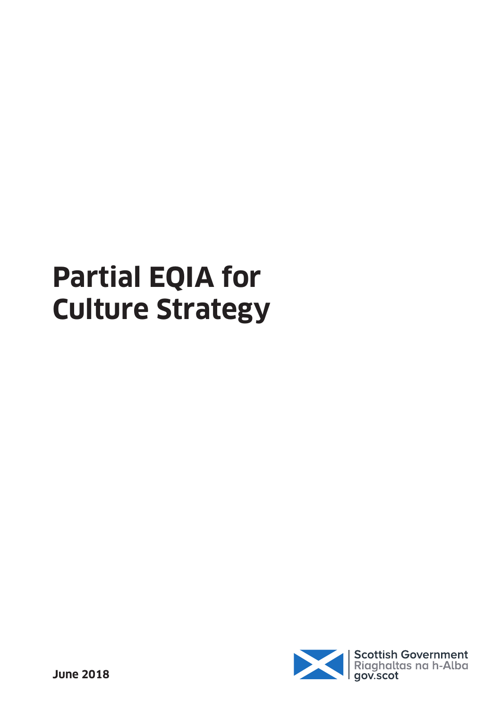# **Partial EQIA for Culture Strategy**

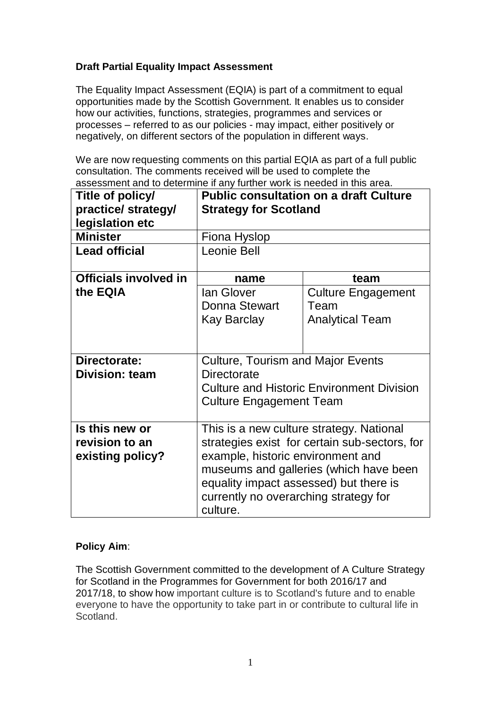# **Draft Partial Equality Impact Assessment**

The Equality Impact Assessment (EQIA) is part of a commitment to equal opportunities made by the Scottish Government. It enables us to consider how our activities, functions, strategies, programmes and services or processes – referred to as our policies - may impact, either positively or negatively, on different sectors of the population in different ways.

We are now requesting comments on this partial EQIA as part of a full public consultation. The comments received will be used to complete the assessment and to determine if any further work is needed in this area.

| Title of policy/             | <b>Public consultation on a draft Culture</b>    |                           |
|------------------------------|--------------------------------------------------|---------------------------|
| practice/ strategy/          | <b>Strategy for Scotland</b>                     |                           |
| legislation etc              |                                                  |                           |
| <b>Minister</b>              | Fiona Hyslop                                     |                           |
| <b>Lead official</b>         | Leonie Bell                                      |                           |
| <b>Officials involved in</b> | name                                             | team                      |
| the EQIA                     | lan Glover                                       | <b>Culture Engagement</b> |
|                              | <b>Donna Stewart</b>                             | Team                      |
|                              | <b>Kay Barclay</b>                               | <b>Analytical Team</b>    |
|                              |                                                  |                           |
| Directorate:                 | <b>Culture, Tourism and Major Events</b>         |                           |
| <b>Division: team</b>        | <b>Directorate</b>                               |                           |
|                              | <b>Culture and Historic Environment Division</b> |                           |
|                              | <b>Culture Engagement Team</b>                   |                           |
|                              |                                                  |                           |
| Is this new or               | This is a new culture strategy. National         |                           |
| revision to an               | strategies exist for certain sub-sectors, for    |                           |
| existing policy?             | example, historic environment and                |                           |
|                              | museums and galleries (which have been           |                           |
|                              | equality impact assessed) but there is           |                           |
|                              | currently no overarching strategy for            |                           |
|                              | culture.                                         |                           |

# **Policy Aim**:

The Scottish Government committed to the development of A Culture Strategy for Scotland in the Programmes for Government for both 2016/17 and 2017/18, to show how important culture is to Scotland's future and to enable everyone to have the opportunity to take part in or contribute to cultural life in Scotland.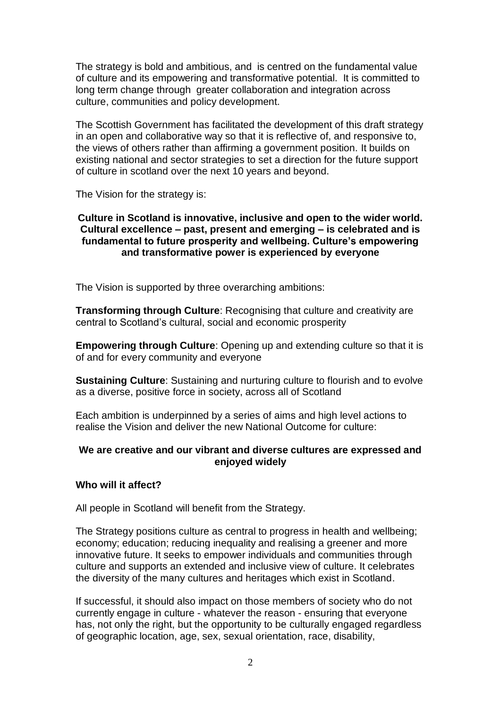The strategy is bold and ambitious, and is centred on the fundamental value of culture and its empowering and transformative potential. It is committed to long term change through greater collaboration and integration across culture, communities and policy development.

The Scottish Government has facilitated the development of this draft strategy in an open and collaborative way so that it is reflective of, and responsive to, the views of others rather than affirming a government position. It builds on existing national and sector strategies to set a direction for the future support of culture in scotland over the next 10 years and beyond.

The Vision for the strategy is:

#### **Culture in Scotland is innovative, inclusive and open to the wider world. Cultural excellence – past, present and emerging – is celebrated and is fundamental to future prosperity and wellbeing. Culture's empowering and transformative power is experienced by everyone**

The Vision is supported by three overarching ambitions:

**Transforming through Culture**: Recognising that culture and creativity are central to Scotland's cultural, social and economic prosperity

**Empowering through Culture**: Opening up and extending culture so that it is of and for every community and everyone

**Sustaining Culture**: Sustaining and nurturing culture to flourish and to evolve as a diverse, positive force in society, across all of Scotland

Each ambition is underpinned by a series of aims and high level actions to realise the Vision and deliver the new National Outcome for culture:

## **We are creative and our vibrant and diverse cultures are expressed and enjoyed widely**

## **Who will it affect?**

All people in Scotland will benefit from the Strategy.

The Strategy positions culture as central to progress in health and wellbeing; economy; education; reducing inequality and realising a greener and more innovative future. It seeks to empower individuals and communities through culture and supports an extended and inclusive view of culture. It celebrates the diversity of the many cultures and heritages which exist in Scotland.

If successful, it should also impact on those members of society who do not currently engage in culture - whatever the reason - ensuring that everyone has, not only the right, but the opportunity to be culturally engaged regardless of geographic location, age, sex, sexual orientation, race, disability,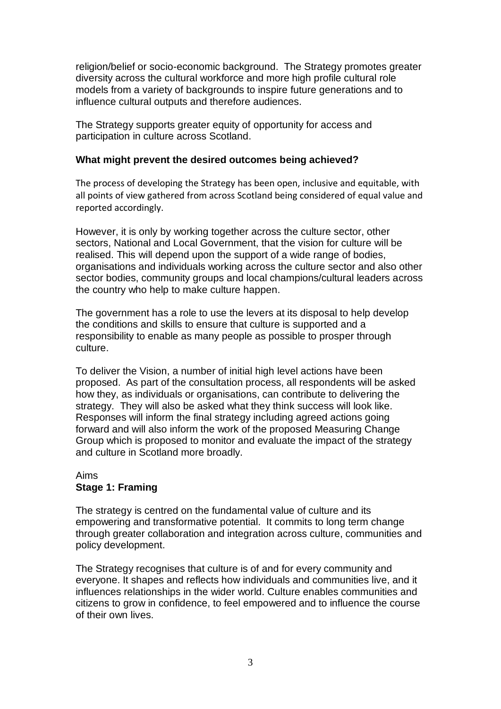religion/belief or socio-economic background. The Strategy promotes greater diversity across the cultural workforce and more high profile cultural role models from a variety of backgrounds to inspire future generations and to influence cultural outputs and therefore audiences.

The Strategy supports greater equity of opportunity for access and participation in culture across Scotland.

## **What might prevent the desired outcomes being achieved?**

The process of developing the Strategy has been open, inclusive and equitable, with all points of view gathered from across Scotland being considered of equal value and reported accordingly.

However, it is only by working together across the culture sector, other sectors, National and Local Government, that the vision for culture will be realised. This will depend upon the support of a wide range of bodies, organisations and individuals working across the culture sector and also other sector bodies, community groups and local champions/cultural leaders across the country who help to make culture happen.

The government has a role to use the levers at its disposal to help develop the conditions and skills to ensure that culture is supported and a responsibility to enable as many people as possible to prosper through culture.

To deliver the Vision, a number of initial high level actions have been proposed. As part of the consultation process, all respondents will be asked how they, as individuals or organisations, can contribute to delivering the strategy. They will also be asked what they think success will look like. Responses will inform the final strategy including agreed actions going forward and will also inform the work of the proposed Measuring Change Group which is proposed to monitor and evaluate the impact of the strategy and culture in Scotland more broadly.

#### Aims **Stage 1: Framing**

The strategy is centred on the fundamental value of culture and its empowering and transformative potential. It commits to long term change through greater collaboration and integration across culture, communities and policy development.

The Strategy recognises that culture is of and for every community and everyone. It shapes and reflects how individuals and communities live, and it influences relationships in the wider world. Culture enables communities and citizens to grow in confidence, to feel empowered and to influence the course of their own lives.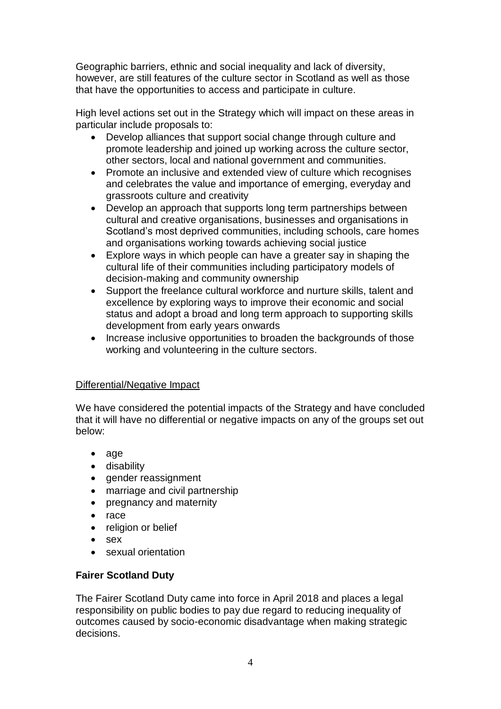Geographic barriers, ethnic and social inequality and lack of diversity, however, are still features of the culture sector in Scotland as well as those that have the opportunities to access and participate in culture.

High level actions set out in the Strategy which will impact on these areas in particular include proposals to:

- Develop alliances that support social change through culture and promote leadership and joined up working across the culture sector, other sectors, local and national government and communities.
- Promote an inclusive and extended view of culture which recognises and celebrates the value and importance of emerging, everyday and grassroots culture and creativity
- Develop an approach that supports long term partnerships between cultural and creative organisations, businesses and organisations in Scotland's most deprived communities, including schools, care homes and organisations working towards achieving social justice
- Explore ways in which people can have a greater say in shaping the cultural life of their communities including participatory models of decision-making and community ownership
- Support the freelance cultural workforce and nurture skills, talent and excellence by exploring ways to improve their economic and social status and adopt a broad and long term approach to supporting skills development from early years onwards
- Increase inclusive opportunities to broaden the backgrounds of those working and volunteering in the culture sectors.

## Differential/Negative Impact

We have considered the potential impacts of the Strategy and have concluded that it will have no differential or negative impacts on any of the groups set out below:

- age
- disability
- gender reassignment
- marriage and civil partnership
- pregnancy and maternity
- race
- religion or belief
- sex
- sexual orientation

# **Fairer Scotland Duty**

The Fairer Scotland Duty came into force in April 2018 and places a legal responsibility on public bodies to pay due regard to reducing inequality of outcomes caused by socio-economic disadvantage when making strategic decisions.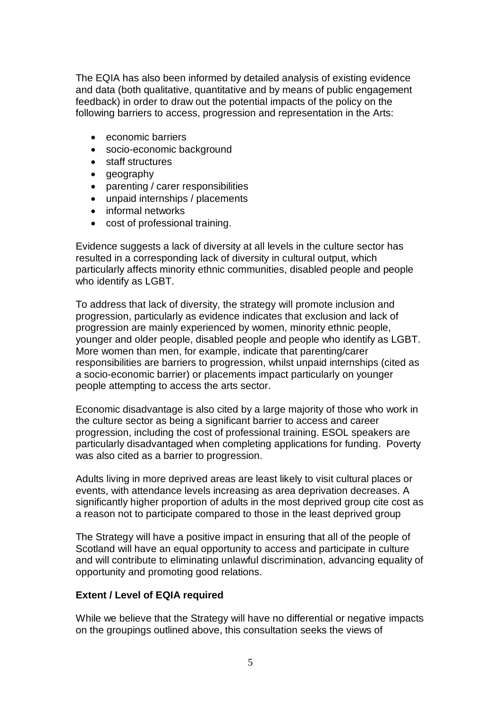The EQIA has also been informed by detailed analysis of existing evidence and data (both qualitative, quantitative and by means of public engagement feedback) in order to draw out the potential impacts of the policy on the following barriers to access, progression and representation in the Arts:

- economic barriers
- socio-economic background
- staff structures
- geography
- parenting / carer responsibilities
- unpaid internships / placements
- informal networks
- cost of professional training.

Evidence suggests a lack of diversity at all levels in the culture sector has resulted in a corresponding lack of diversity in cultural output, which particularly affects minority ethnic communities, disabled people and people who identify as LGBT.

To address that lack of diversity, the strategy will promote inclusion and progression, particularly as evidence indicates that exclusion and lack of progression are mainly experienced by women, minority ethnic people, younger and older people, disabled people and people who identify as LGBT. More women than men, for example, indicate that parenting/carer responsibilities are barriers to progression, whilst unpaid internships (cited as a socio-economic barrier) or placements impact particularly on younger people attempting to access the arts sector.

Economic disadvantage is also cited by a large majority of those who work in the culture sector as being a significant barrier to access and career progression, including the cost of professional training. ESOL speakers are particularly disadvantaged when completing applications for funding. Poverty was also cited as a barrier to progression.

Adults living in more deprived areas are least likely to visit cultural places or events, with attendance levels increasing as area deprivation decreases. A significantly higher proportion of adults in the most deprived group cite cost as a reason not to participate compared to those in the least deprived group

The Strategy will have a positive impact in ensuring that all of the people of Scotland will have an equal opportunity to access and participate in culture and will contribute to eliminating unlawful discrimination, advancing equality of opportunity and promoting good relations.

#### **Extent / Level of EQIA required**

While we believe that the Strategy will have no differential or negative impacts on the groupings outlined above, this consultation seeks the views of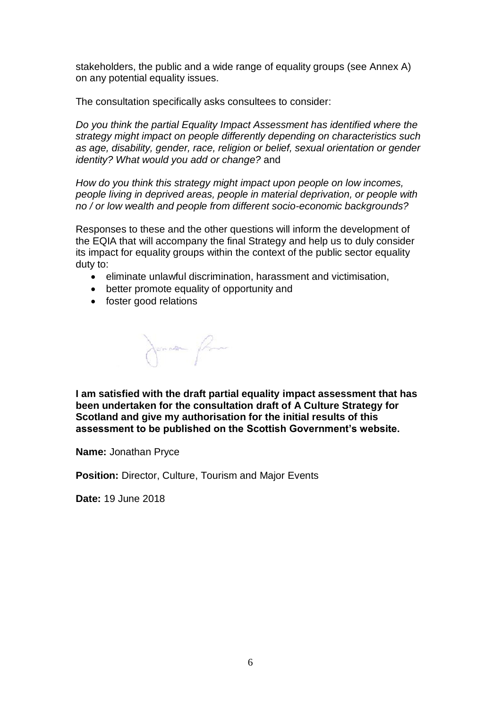stakeholders, the public and a wide range of equality groups (see Annex A) on any potential equality issues.

The consultation specifically asks consultees to consider:

*Do you think the partial Equality Impact Assessment has identified where the strategy might impact on people differently depending on characteristics such as age, disability, gender, race, religion or belief, sexual orientation or gender identity? What would you add or change?* and

*How do you think this strategy might impact upon people on low incomes, people living in deprived areas, people in material deprivation, or people with no / or low wealth and people from different socio-economic backgrounds?*

Responses to these and the other questions will inform the development of the EQIA that will accompany the final Strategy and help us to duly consider its impact for equality groups within the context of the public sector equality duty to:

- eliminate unlawful discrimination, harassment and victimisation,
- better promote equality of opportunity and
- foster good relations

Jonata fra

**I am satisfied with the draft partial equality impact assessment that has been undertaken for the consultation draft of A Culture Strategy for Scotland and give my authorisation for the initial results of this assessment to be published on the Scottish Government's website.**

**Name:** Jonathan Pryce

**Position:** Director, Culture, Tourism and Major Events

**Date:** 19 June 2018